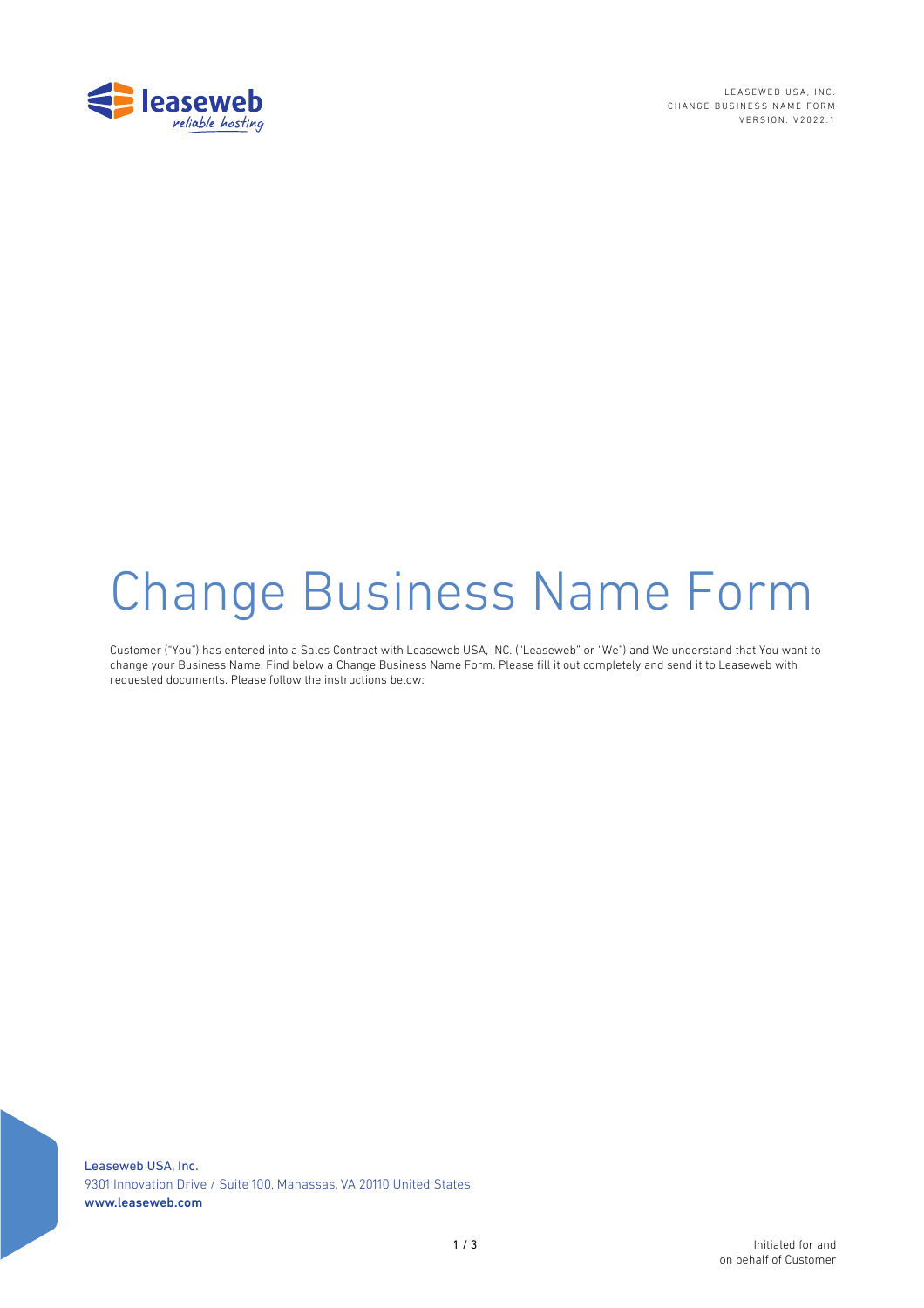

LEASEWEB USA, INC. CHANGE BUSINESS NAME FORM VERSION: V2022.1

# Change Business Name Form

Customer ("You") has entered into a Sales Contract with Leaseweb USA, INC. ("Leaseweb" or "We") and We understand that You want to change your Business Name. Find below a Change Business Name Form. Please fill it out completely and send it to Leaseweb with requested documents. Please follow the instructions below: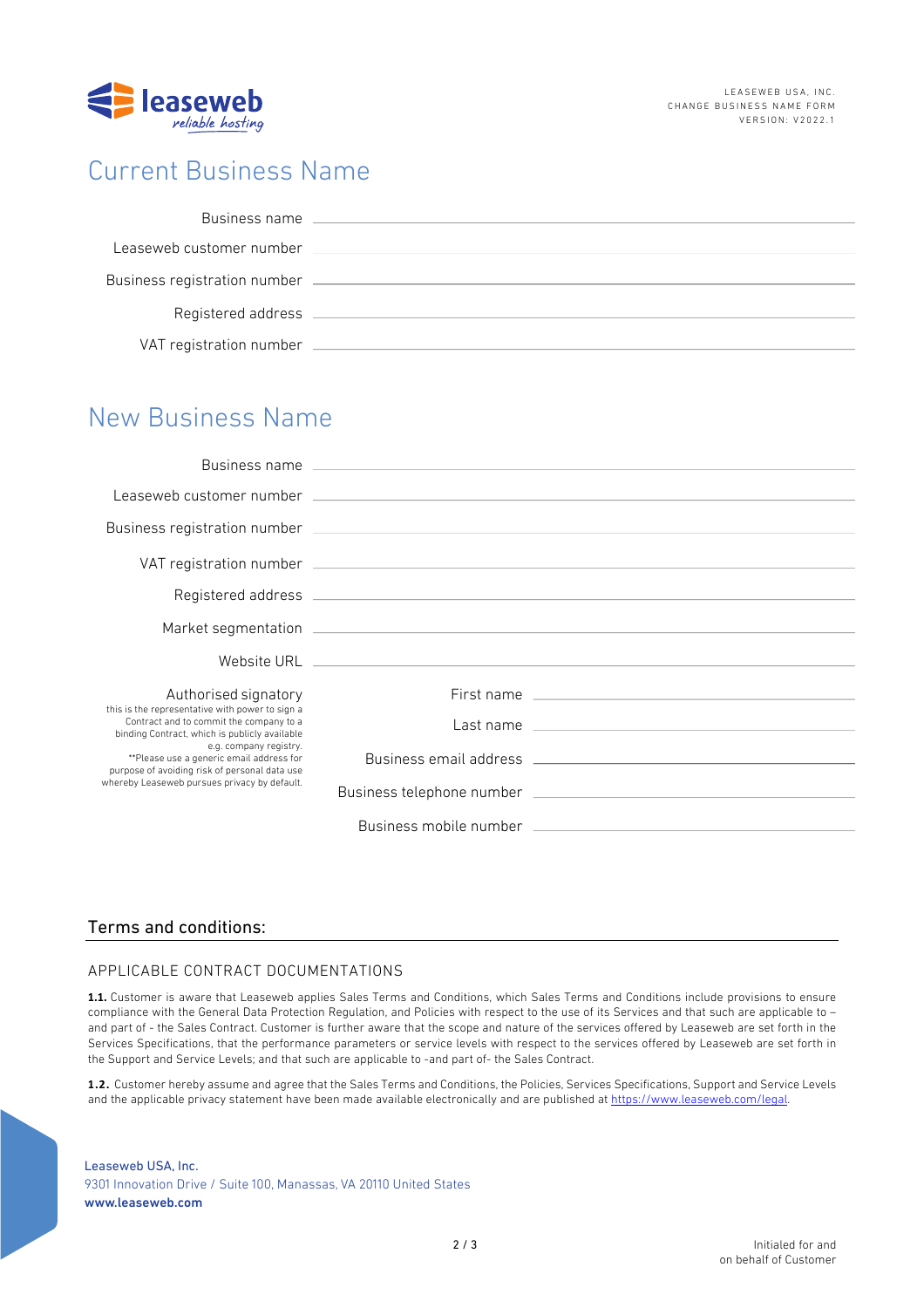

## Current Business Name

| Business name                |  |
|------------------------------|--|
| Leaseweb customer number     |  |
| Business registration number |  |
| Registered address           |  |
| VAT registration number      |  |

## New Business Name

| Authorised signatory                                                                                                                                                                                                                                                                                               |                                                                                                                                                                                                                                |
|--------------------------------------------------------------------------------------------------------------------------------------------------------------------------------------------------------------------------------------------------------------------------------------------------------------------|--------------------------------------------------------------------------------------------------------------------------------------------------------------------------------------------------------------------------------|
| this is the representative with power to sign a<br>Contract and to commit the company to a<br>binding Contract, which is publicly available<br>e.g. company registry.<br>**Please use a generic email address for<br>purpose of avoiding risk of personal data use<br>whereby Leaseweb pursues privacy by default. |                                                                                                                                                                                                                                |
|                                                                                                                                                                                                                                                                                                                    |                                                                                                                                                                                                                                |
|                                                                                                                                                                                                                                                                                                                    |                                                                                                                                                                                                                                |
|                                                                                                                                                                                                                                                                                                                    | Business mobile number that the control of the control of the control of the control of the control of the control of the control of the control of the control of the control of the control of the control of the control of |

### Terms and conditions:

#### APPLICABLE CONTRACT DOCUMENTATIONS

**1.1.** Customer is aware that Leaseweb applies Sales Terms and Conditions, which Sales Terms and Conditions include provisions to ensure compliance with the General Data Protection Regulation, and Policies with respect to the use of its Services and that such are applicable to – and part of - the Sales Contract. Customer is further aware that the scope and nature of the services offered by Leaseweb are set forth in the Services Specifications, that the performance parameters or service levels with respect to the services offered by Leaseweb are set forth in the Support and Service Levels; and that such are applicable to -and part of- the Sales Contract.

**1.2.** Customer hereby assume and agree that the Sales Terms and Conditions, the Policies, Services Specifications, Support and Service Levels and the applicable privacy statement have been made available electronically and are published at https://www.leaseweb.com/legal.

Leaseweb USA, Inc. 9301 Innovation Drive / Suite 100, Manassas, VA 20110 United States www.leaseweb.com